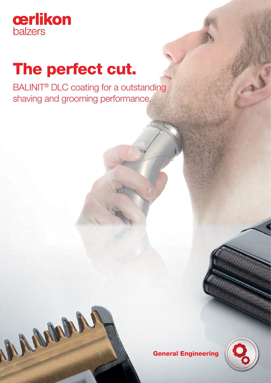

# The perfect cut.

BALINIT® DLC coating for a outstanding shaving and grooming performance.